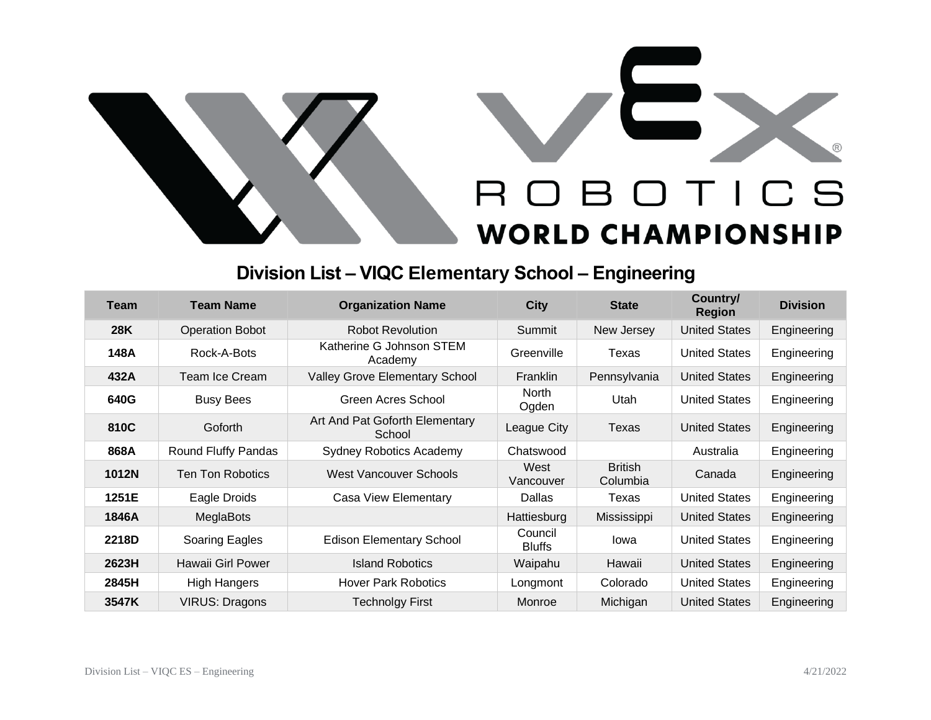

## **Division List – VIQC Elementary School – Engineering**

| Team       | Team Name               | <b>Organization Name</b>                 | <b>City</b>              | <b>State</b>               | Country/<br><b>Region</b> | <b>Division</b> |
|------------|-------------------------|------------------------------------------|--------------------------|----------------------------|---------------------------|-----------------|
| <b>28K</b> | <b>Operation Bobot</b>  | <b>Robot Revolution</b>                  | Summit                   | New Jersey                 | <b>United States</b>      | Engineering     |
| 148A       | Rock-A-Bots             | Katherine G Johnson STEM<br>Academy      | Greenville               | Texas                      | <b>United States</b>      | Engineering     |
| 432A       | Team Ice Cream          | <b>Valley Grove Elementary School</b>    | <b>Franklin</b>          | Pennsylvania               | <b>United States</b>      | Engineering     |
| 640G       | <b>Busy Bees</b>        | Green Acres School                       | <b>North</b><br>Ogden    | Utah                       | <b>United States</b>      | Engineering     |
| 810C       | Goforth                 | Art And Pat Goforth Elementary<br>School | League City              | Texas                      | <b>United States</b>      | Engineering     |
| 868A       | Round Fluffy Pandas     | <b>Sydney Robotics Academy</b>           | Chatswood                |                            | Australia                 | Engineering     |
| 1012N      | <b>Ten Ton Robotics</b> | <b>West Vancouver Schools</b>            | West<br>Vancouver        | <b>British</b><br>Columbia | Canada                    | Engineering     |
| 1251E      | Eagle Droids            | Casa View Elementary                     | Dallas                   | Texas                      | <b>United States</b>      | Engineering     |
| 1846A      | MeglaBots               |                                          | Hattiesburg              | Mississippi                | <b>United States</b>      | Engineering     |
| 2218D      | Soaring Eagles          | <b>Edison Elementary School</b>          | Council<br><b>Bluffs</b> | lowa                       | <b>United States</b>      | Engineering     |
| 2623H      | Hawaii Girl Power       | <b>Island Robotics</b>                   | Waipahu                  | Hawaii                     | <b>United States</b>      | Engineering     |
| 2845H      | <b>High Hangers</b>     | <b>Hover Park Robotics</b>               | Longmont                 | Colorado                   | <b>United States</b>      | Engineering     |
| 3547K      | <b>VIRUS: Dragons</b>   | <b>Technolgy First</b>                   | Monroe                   | Michigan                   | <b>United States</b>      | Engineering     |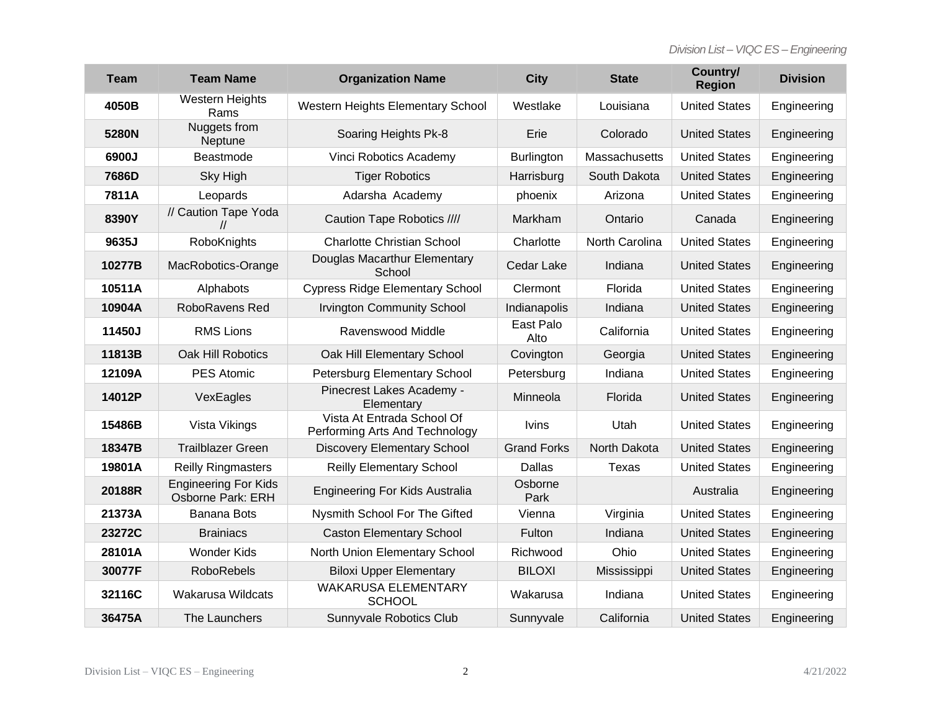| <b>Team</b> | <b>Team Name</b>                                 | <b>Organization Name</b>                                     | <b>City</b>        | <b>State</b>   | Country/<br><b>Region</b> | <b>Division</b> |
|-------------|--------------------------------------------------|--------------------------------------------------------------|--------------------|----------------|---------------------------|-----------------|
| 4050B       | <b>Western Heights</b><br>Rams                   | Western Heights Elementary School                            | Westlake           | Louisiana      | <b>United States</b>      | Engineering     |
| 5280N       | Nuggets from<br>Neptune                          | Soaring Heights Pk-8                                         | Erie               | Colorado       | <b>United States</b>      | Engineering     |
| 6900J       | Beastmode                                        | Vinci Robotics Academy                                       | <b>Burlington</b>  | Massachusetts  | <b>United States</b>      | Engineering     |
| 7686D       | Sky High                                         | <b>Tiger Robotics</b>                                        | Harrisburg         | South Dakota   | <b>United States</b>      | Engineering     |
| 7811A       | Leopards                                         | Adarsha Academy                                              | phoenix            | Arizona        | <b>United States</b>      | Engineering     |
| 8390Y       | // Caution Tape Yoda                             | Caution Tape Robotics ////                                   | Markham            | Ontario        | Canada                    | Engineering     |
| 9635J       | RoboKnights                                      | <b>Charlotte Christian School</b>                            | Charlotte          | North Carolina | <b>United States</b>      | Engineering     |
| 10277B      | MacRobotics-Orange                               | Douglas Macarthur Elementary<br>School                       | Cedar Lake         | Indiana        | <b>United States</b>      | Engineering     |
| 10511A      | Alphabots                                        | <b>Cypress Ridge Elementary School</b>                       | Clermont           | Florida        | <b>United States</b>      | Engineering     |
| 10904A      | RoboRavens Red                                   | <b>Irvington Community School</b>                            | Indianapolis       | Indiana        | <b>United States</b>      | Engineering     |
| 11450J      | <b>RMS Lions</b>                                 | Ravenswood Middle                                            | East Palo<br>Alto  | California     | <b>United States</b>      | Engineering     |
| 11813B      | Oak Hill Robotics                                | Oak Hill Elementary School                                   | Covington          | Georgia        | <b>United States</b>      | Engineering     |
| 12109A      | <b>PES Atomic</b>                                | Petersburg Elementary School                                 | Petersburg         | Indiana        | <b>United States</b>      | Engineering     |
| 14012P      | VexEagles                                        | Pinecrest Lakes Academy -<br>Elementary                      | Minneola           | Florida        | <b>United States</b>      | Engineering     |
| 15486B      | Vista Vikings                                    | Vista At Entrada School Of<br>Performing Arts And Technology | <b>Ivins</b>       | Utah           | <b>United States</b>      | Engineering     |
| 18347B      | <b>Trailblazer Green</b>                         | <b>Discovery Elementary School</b>                           | <b>Grand Forks</b> | North Dakota   | <b>United States</b>      | Engineering     |
| 19801A      | <b>Reilly Ringmasters</b>                        | <b>Reilly Elementary School</b>                              | Dallas             | Texas          | <b>United States</b>      | Engineering     |
| 20188R      | <b>Engineering For Kids</b><br>Osborne Park: ERH | Engineering For Kids Australia                               | Osborne<br>Park    |                | Australia                 | Engineering     |
| 21373A      | <b>Banana Bots</b>                               | Nysmith School For The Gifted                                | Vienna             | Virginia       | <b>United States</b>      | Engineering     |
| 23272C      | <b>Brainiacs</b>                                 | <b>Caston Elementary School</b>                              | Fulton             | Indiana        | <b>United States</b>      | Engineering     |
| 28101A      | <b>Wonder Kids</b>                               | North Union Elementary School                                | Richwood           | Ohio           | <b>United States</b>      | Engineering     |
| 30077F      | <b>RoboRebels</b>                                | <b>Biloxi Upper Elementary</b>                               | <b>BILOXI</b>      | Mississippi    | <b>United States</b>      | Engineering     |
| 32116C      | <b>Wakarusa Wildcats</b>                         | <b>WAKARUSA ELEMENTARY</b><br><b>SCHOOL</b>                  | Wakarusa           | Indiana        | <b>United States</b>      | Engineering     |
| 36475A      | The Launchers                                    | Sunnyvale Robotics Club                                      | Sunnyvale          | California     | <b>United States</b>      | Engineering     |